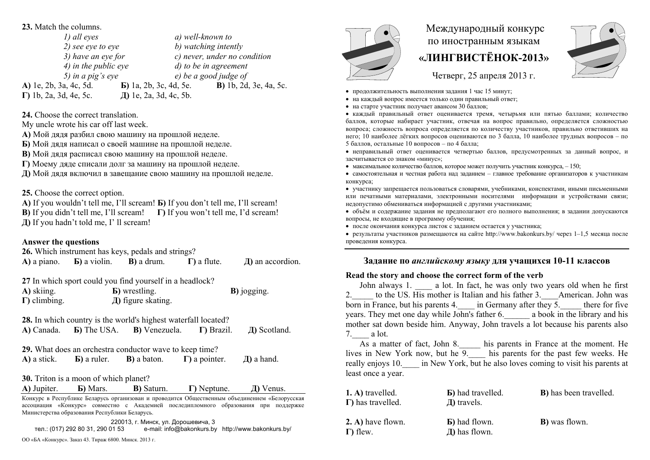#### **23.** Match the columns.

*1) all eyes a) well-known to 2)* see eye to eye b) watching intently *3) have an eye for c) never, under no condition 4) in the public eye d) to be in agreement 5) in a pig's eye e) be a good judge of*  **А)** 1e, 2b, 3a, 4c, 5d. **Б)** 1a, 2b, 3c, 4d, 5e. **В)** 1b, 2d, 3e, 4a, 5c. **Г)** 1b, 2a, 3d, 4e, 5c. **Д)** 1e, 2a, 3d, 4c, 5b.

**24.** Choose the correct translation.

My uncle wrote his car off last week.

**А)** Мой дядя разбил свою машину на прошлой неделе.

**Б)** Мой дядя написал о своей машине на прошлой неделе.

**В)** Мой дядя расписал свою машину на прошлой неделе.

**Г)** Моему дяде списали долг за машину на прошлой неделе.

**Д)** Мой дядя включил в завещание свою машину на прошлой неделе.

**25.** Choose the correct option.

**A)** If you wouldn't tell me, I'll scream! **Б)** If you don't tell me, I'll scream! **B)** If you didn't tell me, I'll scream! **Г)** If you won't tell me, I'd scream! **Д)** If you hadn't told me, I' ll scream!

### **Answer the questions**

**26.** Which instrument has keys, pedals and strings?

**А)** a piano. **Б)** a violin. **В)** a drum. **Г)** a flute. **Д)** an accordion.

**27** In which sport could you find yourself in a headlock? **A)** skiing. **Б)** wrestling. **B)** jogging. **Г)** climbing. **Д)** figure skating.

**28.** In which country is the world's highest waterfall located? **А)** Canada. **Б)** The USA. **В)** Venezuela. **Г)** Brazil. **Д)** Scotland.

**29.** What does an orchestra conductor wave to keep time?

| A) a stick. | <b>b</b> ) a ruler. | <b>B</b> ) a baton. | $\Gamma$ ) a pointer. | $\pi$ ) a hand. |
|-------------|---------------------|---------------------|-----------------------|-----------------|
|             |                     |                     |                       |                 |

**30.** Triton is a moon of which planet?

**А)** Jupiter. **Б)** Mars. **В)** Saturn. **Г)** Neptune. **Д)** Venus.

Конкурс <sup>в</sup> Республике Беларусь организован <sup>и</sup> проводится Общественным объединением «Белорусская ассоциация «Конкурс» совместно <sup>с</sup> Академией последипломного образования при поддержке Министерства образования Республики Беларусь.

220013, <sup>г</sup>. Минск, ул. Дорошевича, 3 тел.: (017) 292 80 31, 290 01 53 e-mail: info@bakonkurs.by http://www.bakonkurs.by/ ОО «БА «Конкурс». Заказ 43. Тираж 6800. Минск. 2013 <sup>г</sup>.



# Международный конкурс по иностранным языкам **«ЛИНГВИСТЁНОК-2013»**

Четверг, 25 апреля 2013 г.

- продолжительность выполнения задания 1 час 15 минут;
- на каждый вопрос имеется только один правильный ответ;
- на старте участник получает авансом 30 баллов;

 каждый правильный ответ оценивается тремя, четырьмя или пятью баллами; количество баллов, которые набирает участник, отвечая на вопрос правильно, определяется сложностью вопроса; сложность вопроса определяется по количеству участников, правильно ответивших на него; 10 наиболее лёгких вопросов оцениваются по 3 балла, 10 наиболее трудных вопросов – по 5 баллов, остальные 10 вопросов – по 4 балла;

 неправильный ответ оценивается четвертью баллов, предусмотренных за данный вопрос, <sup>и</sup> засчитывается со знаком «минус»;

• максимальное количество баллов, которое может получить участник конкурса,  $-150$ ;

 самостоятельная и честная работа над заданием – главное требование организаторов <sup>к</sup> участникам конкурса;

 участнику запрещается пользоваться словарями, учебниками, конспектами, иными письменными или печатными материалами, электронными носителями информации <sup>и</sup> устройствами связи; недопустимо обмениваться информацией <sup>с</sup> другими участниками;

 объём <sup>и</sup> содержание задания не предполагают его полного выполнения; <sup>в</sup> задании допускаются вопросы, не входящие <sup>в</sup> программу обучения;

после окончания конкурса листок с заданием остается у участника;

 результаты участников размещаются на сайте http://www.bakonkurs.by/ через 1–1,5 месяца после проведения конкурса.

## **Задание по** *английскому языку* **для учащихся 10-11 классов**

### **Read the story and choose the correct form of the verb**

John always 1. \_\_\_\_ a lot. In fact, he was only two years old when he first 2. to the US. His mother is Italian and his father 3. American. John was born in France, but his parents 4.  $\qquad$  in Germany after they 5.  $\qquad$  there for five vears. They met one day while John's father 6. <br> a book in the library and his mother sat down beside him. Anyway, John travels a lot because his parents also 7.\_\_\_\_ a lot.

As a matter of fact, John 8. less his parents in France at the moment. He lives in New York now, but he  $\overline{9}$  his parents for the past few weeks. He really enjoys 10. \_\_\_\_ in New York, but he also loves coming to visit his parents at least once a year.

| 1. A) travelled.<br>$\Gamma$ ) has travelled. | <b>B</b> ) had travelled.<br>$\pi$ travels. | <b>B</b> ) has been travelled. |
|-----------------------------------------------|---------------------------------------------|--------------------------------|
| 2. A) have flown.<br>$\Gamma$ ) flew.         | <b>B</b> ) had flown.<br>Д) has flown.      | <b>B</b> ) was flown.          |